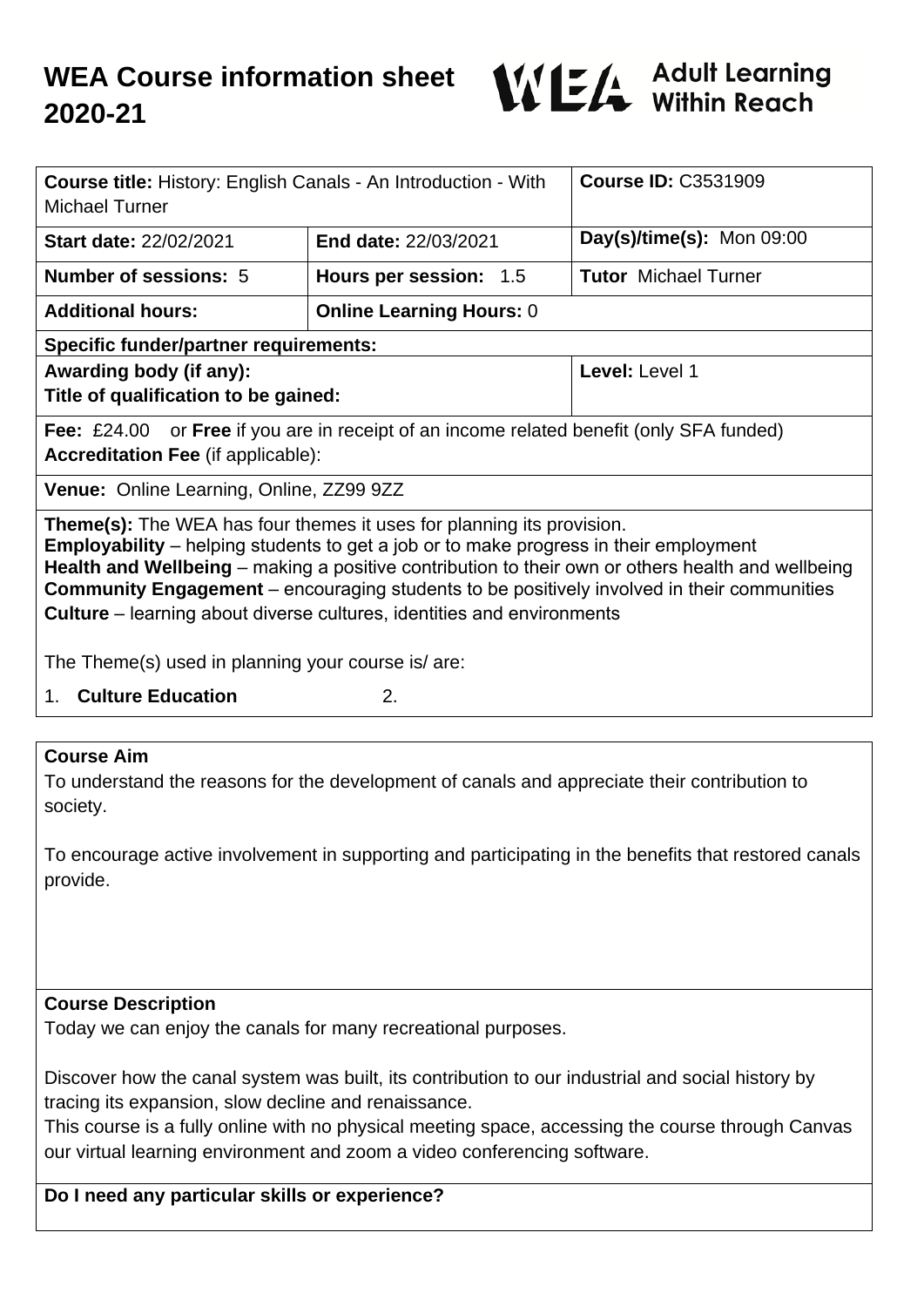

| <b>Course title: History: English Canals - An Introduction - With</b><br><b>Michael Turner</b>                                                                                                                                                                                                                                                                                                                                                                          |                                 | <b>Course ID: C3531909</b>  |
|-------------------------------------------------------------------------------------------------------------------------------------------------------------------------------------------------------------------------------------------------------------------------------------------------------------------------------------------------------------------------------------------------------------------------------------------------------------------------|---------------------------------|-----------------------------|
| <b>Start date: 22/02/2021</b>                                                                                                                                                                                                                                                                                                                                                                                                                                           | <b>End date: 22/03/2021</b>     | Day(s)/time(s): Mon $09:00$ |
| <b>Number of sessions: 5</b>                                                                                                                                                                                                                                                                                                                                                                                                                                            | Hours per session: 1.5          | <b>Tutor</b> Michael Turner |
| <b>Additional hours:</b>                                                                                                                                                                                                                                                                                                                                                                                                                                                | <b>Online Learning Hours: 0</b> |                             |
| <b>Specific funder/partner requirements:</b>                                                                                                                                                                                                                                                                                                                                                                                                                            |                                 |                             |
| Awarding body (if any):                                                                                                                                                                                                                                                                                                                                                                                                                                                 |                                 | Level: Level 1              |
| Title of qualification to be gained:                                                                                                                                                                                                                                                                                                                                                                                                                                    |                                 |                             |
| or Free if you are in receipt of an income related benefit (only SFA funded)<br>Fee: $£24.00$<br><b>Accreditation Fee (if applicable):</b>                                                                                                                                                                                                                                                                                                                              |                                 |                             |
| <b>Venue:</b> Online Learning, Online, ZZ99 9ZZ                                                                                                                                                                                                                                                                                                                                                                                                                         |                                 |                             |
| <b>Theme(s):</b> The WEA has four themes it uses for planning its provision.<br><b>Employability</b> – helping students to get a job or to make progress in their employment<br>Health and Wellbeing – making a positive contribution to their own or others health and wellbeing<br><b>Community Engagement</b> – encouraging students to be positively involved in their communities<br><b>Culture</b> – learning about diverse cultures, identities and environments |                                 |                             |
| The Theme(s) used in planning your course is/ are:                                                                                                                                                                                                                                                                                                                                                                                                                      |                                 |                             |
| 1. Culture Education                                                                                                                                                                                                                                                                                                                                                                                                                                                    | 2.                              |                             |

#### **Course Aim**

To understand the reasons for the development of canals and appreciate their contribution to society.

To encourage active involvement in supporting and participating in the benefits that restored canals provide.

#### **Course Description**

Today we can enjoy the canals for many recreational purposes.

Discover how the canal system was built, its contribution to our industrial and social history by tracing its expansion, slow decline and renaissance.

This course is a fully online with no physical meeting space, accessing the course through Canvas our virtual learning environment and zoom a video conferencing software.

#### **Do I need any particular skills or experience?**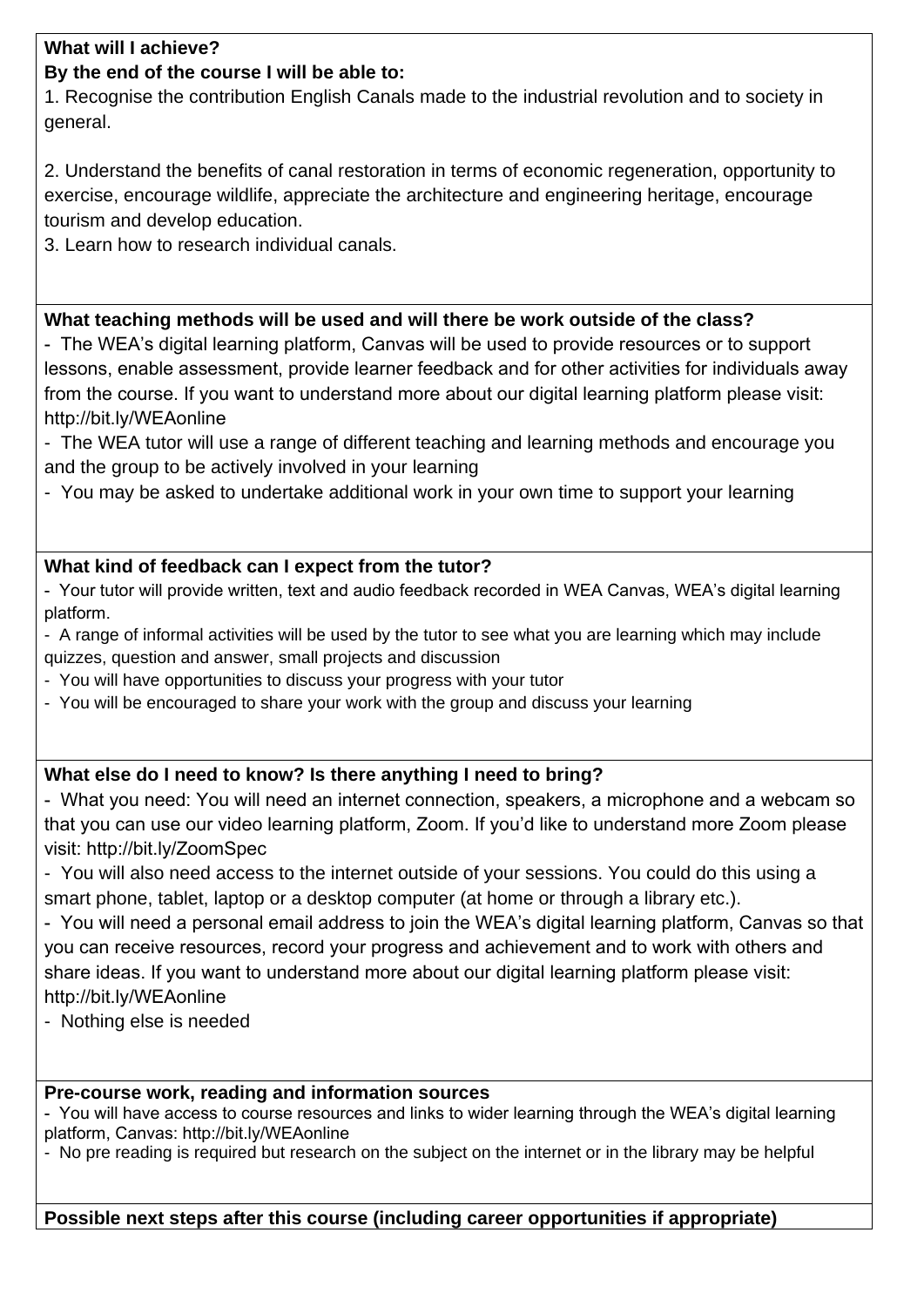### **What will I achieve?**

# **By the end of the course I will be able to:**

1. Recognise the contribution English Canals made to the industrial revolution and to society in general.

2. Understand the benefits of canal restoration in terms of economic regeneration, opportunity to exercise, encourage wildlife, appreciate the architecture and engineering heritage, encourage tourism and develop education.

3. Learn how to research individual canals.

## **What teaching methods will be used and will there be work outside of the class?**

- The WEA's digital learning platform, Canvas will be used to provide resources or to support lessons, enable assessment, provide learner feedback and for other activities for individuals away from the course. If you want to understand more about our digital learning platform please visit: http://bit.ly/WEAonline

- The WEA tutor will use a range of different teaching and learning methods and encourage you and the group to be actively involved in your learning

- You may be asked to undertake additional work in your own time to support your learning

## **What kind of feedback can I expect from the tutor?**

- Your tutor will provide written, text and audio feedback recorded in WEA Canvas, WEA's digital learning platform.

- A range of informal activities will be used by the tutor to see what you are learning which may include quizzes, question and answer, small projects and discussion

- You will have opportunities to discuss your progress with your tutor
- You will be encouraged to share your work with the group and discuss your learning

# **What else do I need to know? Is there anything I need to bring?**

- What you need: You will need an internet connection, speakers, a microphone and a webcam so that you can use our video learning platform, Zoom. If you'd like to understand more Zoom please visit: http://bit.ly/ZoomSpec

- You will also need access to the internet outside of your sessions. You could do this using a smart phone, tablet, laptop or a desktop computer (at home or through a library etc.).

- You will need a personal email address to join the WEA's digital learning platform, Canvas so that you can receive resources, record your progress and achievement and to work with others and share ideas. If you want to understand more about our digital learning platform please visit: http://bit.ly/WEAonline

- Nothing else is needed

### **Pre-course work, reading and information sources**

- You will have access to course resources and links to wider learning through the WEA's digital learning platform, Canvas: http://bit.ly/WEAonline

- No pre reading is required but research on the subject on the internet or in the library may be helpful

**Possible next steps after this course (including career opportunities if appropriate)**